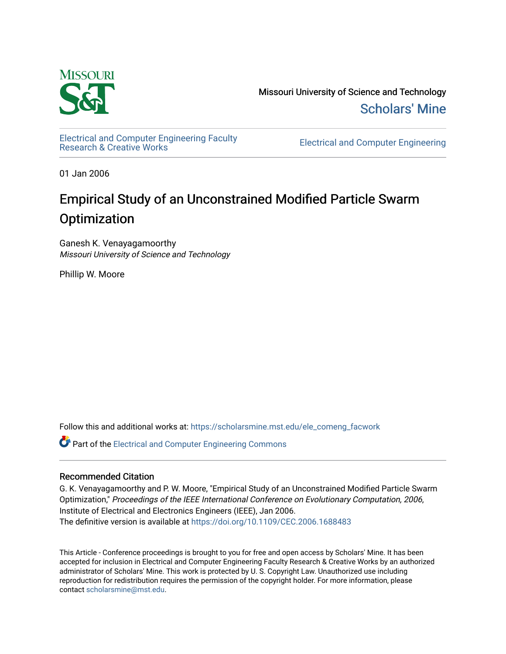

Missouri University of Science and Technology [Scholars' Mine](https://scholarsmine.mst.edu/) 

[Electrical and Computer Engineering Faculty](https://scholarsmine.mst.edu/ele_comeng_facwork)

**Electrical and Computer Engineering** 

01 Jan 2006

# Empirical Study of an Unconstrained Modified Particle Swarm **Optimization**

Ganesh K. Venayagamoorthy Missouri University of Science and Technology

Phillip W. Moore

Follow this and additional works at: [https://scholarsmine.mst.edu/ele\\_comeng\\_facwork](https://scholarsmine.mst.edu/ele_comeng_facwork?utm_source=scholarsmine.mst.edu%2Fele_comeng_facwork%2F1010&utm_medium=PDF&utm_campaign=PDFCoverPages)

**C** Part of the Electrical and Computer Engineering Commons

## Recommended Citation

G. K. Venayagamoorthy and P. W. Moore, "Empirical Study of an Unconstrained Modified Particle Swarm Optimization," Proceedings of the IEEE International Conference on Evolutionary Computation, 2006, Institute of Electrical and Electronics Engineers (IEEE), Jan 2006. The definitive version is available at <https://doi.org/10.1109/CEC.2006.1688483>

This Article - Conference proceedings is brought to you for free and open access by Scholars' Mine. It has been accepted for inclusion in Electrical and Computer Engineering Faculty Research & Creative Works by an authorized administrator of Scholars' Mine. This work is protected by U. S. Copyright Law. Unauthorized use including reproduction for redistribution requires the permission of the copyright holder. For more information, please contact [scholarsmine@mst.edu](mailto:scholarsmine@mst.edu).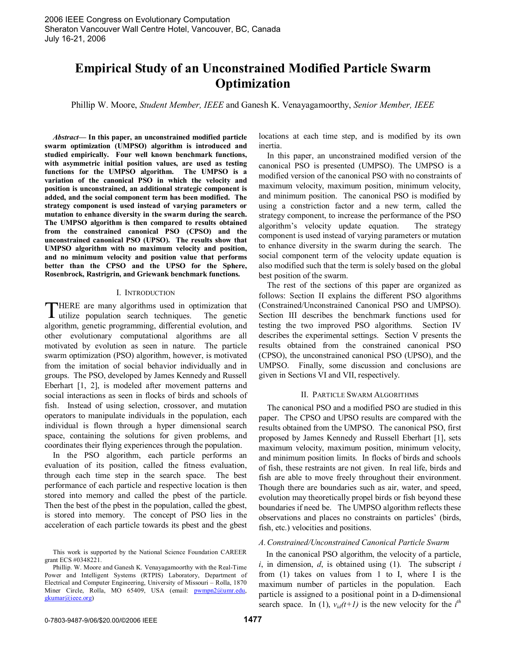## **Empirical Study of an Unconstrained Modified Particle Swarm Optimization**

Phillip W. Moore, *Student Member, IEEE* and Ganesh K. Venayagamoorthy, *Senior Member, IEEE*

*Abstract***— In this paper, an unconstrained modified particle swarm optimization (UMPSO) algorithm is introduced and studied empirically. Four well known benchmark functions, with asymmetric initial position values, are used as testing functions for the UMPSO algorithm. The UMPSO is a variation of the canonical PSO in which the velocity and position is unconstrained, an additional strategic component is added, and the social component term has been modified. The strategy component is used instead of varying parameters or mutation to enhance diversity in the swarm during the search. The UMPSO algorithm is then compared to results obtained from the constrained canonical PSO (CPSO) and the unconstrained canonical PSO (UPSO). The results show that UMPSO algorithm with no maximum velocity and position, and no minimum velocity and position value that performs better than the CPSO and the UPSO for the Sphere, Rosenbrock, Rastrigrin, and Griewank benchmark functions.** 

## I. INTRODUCTION

HERE are many algorithms used in optimization that THERE are many algorithms used in optimization that utilize population search techniques. The genetic algorithm, genetic programming, differential evolution, and other evolutionary computational algorithms are all motivated by evolution as seen in nature. The particle swarm optimization (PSO) algorithm, however, is motivated from the imitation of social behavior individually and in groups. The PSO, developed by James Kennedy and Russell Eberhart [1, 2], is modeled after movement patterns and social interactions as seen in flocks of birds and schools of fish. Instead of using selection, crossover, and mutation operators to manipulate individuals in the population, each individual is flown through a hyper dimensional search space, containing the solutions for given problems, and coordinates their flying experiences through the population.

In the PSO algorithm, each particle performs an evaluation of its position, called the fitness evaluation, through each time step in the search space. The best performance of each particle and respective location is then stored into memory and called the pbest of the particle. Then the best of the pbest in the population, called the gbest, is stored into memory. The concept of PSO lies in the acceleration of each particle towards its pbest and the gbest

locations at each time step, and is modified by its own inertia.

In this paper, an unconstrained modified version of the canonical PSO is presented (UMPSO). The UMPSO is a modified version of the canonical PSO with no constraints of maximum velocity, maximum position, minimum velocity, and minimum position. The canonical PSO is modified by using a constriction factor and a new term, called the strategy component, to increase the performance of the PSO algorithm's velocity update equation. The strategy component is used instead of varying parameters or mutation to enhance diversity in the swarm during the search. The social component term of the velocity update equation is also modified such that the term is solely based on the global best position of the swarm.

The rest of the sections of this paper are organized as follows: Section II explains the different PSO algorithms (Constrained/Unconstrained Canonical PSO and UMPSO). Section III describes the benchmark functions used for testing the two improved PSO algorithms. Section IV describes the experimental settings. Section V presents the results obtained from the constrained canonical PSO (CPSO), the unconstrained canonical PSO (UPSO), and the UMPSO. Finally, some discussion and conclusions are given in Sections VI and VII, respectively.

## II. PARTICLE SWARM ALGORITHMS

The canonical PSO and a modified PSO are studied in this paper. The CPSO and UPSO results are compared with the results obtained from the UMPSO. The canonical PSO, first proposed by James Kennedy and Russell Eberhart [1], sets maximum velocity, maximum position, minimum velocity, and minimum position limits. In flocks of birds and schools of fish, these restraints are not given. In real life, birds and fish are able to move freely throughout their environment. Though there are boundaries such as air, water, and speed, evolution may theoretically propel birds or fish beyond these boundaries if need be. The UMPSO algorithm reflects these observations and places no constraints on particles' (birds, fish, etc.) velocities and positions.

## *A.Constrained/Unconstrained Canonical Particle Swarm*

In the canonical PSO algorithm, the velocity of a particle, *i*, in dimension, *d*, is obtained using (1). The subscript *i*  from (1) takes on values from 1 to I, where I is the maximum number of particles in the population. Each particle is assigned to a positional point in a D-dimensional search space. In (1),  $v_{id}(t+1)$  is the new velocity for the  $i^{th}$ 

This work is supported by the National Science Foundation CAREER grant ECS #0348221.

Phillip. W. Moore and Ganesh K. Venayagamoorthy with the Real-Time Power and Intelligent Systems (RTPIS) Laboratory, Department of Electrical and Computer Engineering, University of Missouri – Rolla, 1870 Miner Circle, Rolla, MO 65409, USA (email: pwmpn2@umr.edu, gkumar@ieee.org)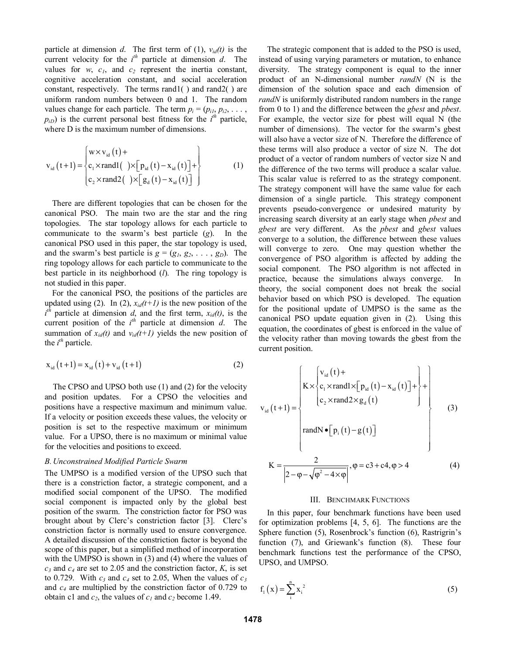particle at dimension *d*. The first term of (1),  $v_{id}(t)$  is the current velocity for the  $i^{th}$  particle at dimension  $d$ . The values for  $w$ ,  $c_1$ , and  $c_2$  represent the inertia constant, cognitive acceleration constant, and social acceleration constant, respectively. The terms rand1( ) and rand2( ) are uniform random numbers between 0 and 1. The random values change for each particle. The term  $p_i = (p_{i1}, p_{i2}, \ldots, p_{iN})$  $p_{iD}$ ) is the current personal best fitness for the  $i^{th}$  particle, where D is the maximum number of dimensions.

$$
\mathbf{v}_{id}(t+1) = \begin{cases} \mathbf{w} \times \mathbf{v}_{id}(t) + \\ c_1 \times \text{rand1}() \times [p_{id}(t) - \mathbf{x}_{id}(t)] + \\ c_2 \times \text{rand2}() \times [g_d(t) - \mathbf{x}_{id}(t)] \end{cases}
$$
(1)

There are different topologies that can be chosen for the canonical PSO. The main two are the star and the ring topologies. The star topology allows for each particle to communicate to the swarm's best particle (*g*). In the canonical PSO used in this paper, the star topology is used, and the swarm's best particle is  $g = (g_1, g_2, \ldots, g_D)$ . The ring topology allows for each particle to communicate to the best particle in its neighborhood (*l*). The ring topology is not studied in this paper.

For the canonical PSO, the positions of the particles are updated using (2). In (2),  $x_{id}(t+1)$  is the new position of the  $i^{th}$  particle at dimension *d*, and the first term,  $x_{id}(t)$ , is the current position of the  $i^{th}$  particle at dimension *d*. The summation of  $x_{id}(t)$  and  $v_{id}(t+1)$  yields the new position of the  $i<sup>th</sup>$  particle.

$$
x_{id}(t+1) = x_{id}(t) + v_{id}(t+1)
$$
 (2)

The CPSO and UPSO both use (1) and (2) for the velocity and position updates. For a CPSO the velocities and positions have a respective maximum and minimum value. If a velocity or position exceeds these values, the velocity or position is set to the respective maximum or minimum value. For a UPSO, there is no maximum or minimal value for the velocities and positions to exceed.

## *B.Unconstrained Modified Particle Swarm*

The UMPSO is a modified version of the UPSO such that there is a constriction factor, a strategic component, and a modified social component of the UPSO. The modified social component is impacted only by the global best position of the swarm. The constriction factor for PSO was brought about by Clerc's constriction factor [3]. Clerc's constriction factor is normally used to ensure convergence. A detailed discussion of the constriction factor is beyond the scope of this paper, but a simplified method of incorporation with the UMPSO is shown in (3) and (4) where the values of  $c_3$  and  $c_4$  are set to 2.05 and the constriction factor,  $K$ , is set to 0.729. With  $c_3$  and  $c_4$  set to 2.05, When the values of  $c_3$ and *c4* are multiplied by the constriction factor of 0.729 to obtain c1 and  $c_2$ , the values of  $c_1$  and  $c_2$  become 1.49.

The strategic component that is added to the PSO is used, instead of using varying parameters or mutation, to enhance diversity. The strategy component is equal to the inner product of an N-dimensional number *randN* (N is the dimension of the solution space and each dimension of *randN* is uniformly distributed random numbers in the range from 0 to 1) and the difference between the *gbest* and *pbest*. For example, the vector size for pbest will equal N (the number of dimensions). The vector for the swarm's gbest will also have a vector size of N. Therefore the difference of these terms will also produce a vector of size N. The dot product of a vector of random numbers of vector size N and the difference of the two terms will produce a scalar value. This scalar value is referred to as the strategy component. The strategy component will have the same value for each dimension of a single particle. This strategy component prevents pseudo-convergence or undesired maturity by increasing search diversity at an early stage when *pbest* and *gbest* are very different. As the *pbest* and *gbest* values converge to a solution, the difference between these values will converge to zero. One may question whether the convergence of PSO algorithm is affected by adding the social component. The PSO algorithm is not affected in practice, because the simulations always converge. In theory, the social component does not break the social behavior based on which PSO is developed. The equation for the positional update of UMPSO is the same as the canonical PSO update equation given in (2). Using this equation, the coordinates of gbest is enforced in the value of the velocity rather than moving towards the gbest from the current position.

$$
v_{id}(t+1) = \begin{cases} K \times \begin{cases} v_{id}(t) + \\ c_1 \times rand1 \times [p_{id}(t) - x_{id}(t)] + \\ c_2 \times rand2 \times g_d(t) \end{cases} \\ randN \bullet [p_i(t) - g(t)] \end{cases}
$$
 (3)  

$$
K = \frac{2}{\left|2 - \varphi - \sqrt{\varphi^2 - 4 \times \varphi}\right|}, \varphi = c3 + c4, \varphi > 4
$$

#### III. BENCHMARK FUNCTIONS

In this paper, four benchmark functions have been used for optimization problems [4, 5, 6]. The functions are the Sphere function (5), Rosenbrock's function (6), Rastrigrin's function (7), and Griewank's function (8). These four benchmark functions test the performance of the CPSO, UPSO, and UMPSO.

$$
f_1(x) = \sum_{i=1}^{n} x_i^2
$$
 (5)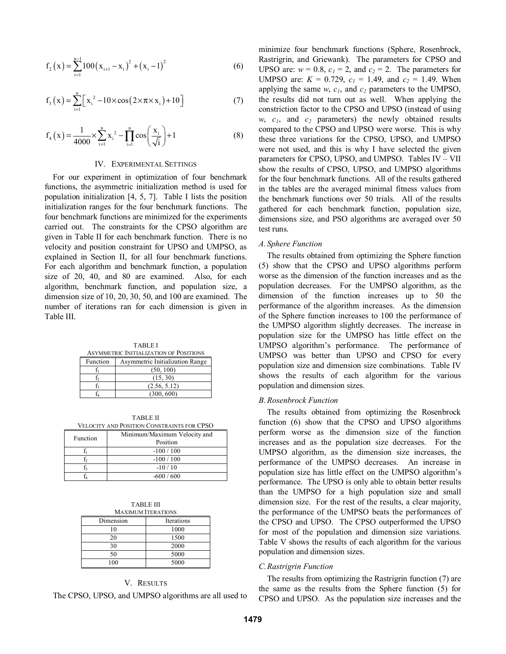$$
f_2(x) = \sum_{i=1}^{n-1} 100(x_{i+1} - x_i)^2 + (x_i - 1)^2
$$
 (6)

$$
f_{3}(x) = \sum_{i=1}^{n} \left[ x_{i}^{2} - 10 \times \cos(2 \times \pi \times x_{i}) + 10 \right]
$$
 (7)

$$
f_4(x) = \frac{1}{4000} \times \sum_{i=1}^{n} x_i^2 - \prod_{i=1}^{n} \cos\left(\frac{x_i}{\sqrt{i}}\right) + 1
$$
 (8)

## IV. EXPERIMENTAL SETTINGS

For our experiment in optimization of four benchmark functions, the asymmetric initialization method is used for population initialization [4, 5, 7]. Table I lists the position initialization ranges for the four benchmark functions. The four benchmark functions are minimized for the experiments carried out. The constraints for the CPSO algorithm are given in Table II for each benchmark function. There is no velocity and position constraint for UPSO and UMPSO, as explained in Section II, for all four benchmark functions. For each algorithm and benchmark function, a population size of 20, 40, and 80 are examined. Also, for each algorithm, benchmark function, and population size, a dimension size of 10, 20, 30, 50, and 100 are examined. The number of iterations ran for each dimension is given in Table III.

TABLE I ASYMMETRIC INITIALIZATION OF POSITIONS Function Asymmetric Initialization Range

| (50, 100)    |
|--------------|
| (15, 30)     |
| (2.56, 5.12) |
| (300, 600)   |
|              |

TABLE II VELOCITY AND POSITION CONSTRAINTS FOR CPSO

| Function | Minimum/Maximum Velocity and<br>Position |
|----------|------------------------------------------|
|          | $-100/100$                               |
|          | $-100/100$                               |
|          | $-10/10$                                 |
|          | $-600/600$                               |

TABLE III MAXIMUM ITERATIONS

| IVIAAINIUM LIEKATIUNS |            |  |  |  |
|-----------------------|------------|--|--|--|
| Dimension             | Iterations |  |  |  |
| 10                    | 1000       |  |  |  |
| 20                    | 1500       |  |  |  |
| 30                    | 2000       |  |  |  |
| 50                    | 5000       |  |  |  |
| 100                   | 5000       |  |  |  |

## V. RESULTS

The CPSO, UPSO, and UMPSO algorithms are all used to

minimize four benchmark functions (Sphere, Rosenbrock, Rastrigrin, and Griewank). The parameters for CPSO and UPSO are:  $w = 0.8$ ,  $c_1 = 2$ , and  $c_2 = 2$ . The parameters for UMPSO are:  $K = 0.729$ ,  $c_1 = 1.49$ , and  $c_2 = 1.49$ . When applying the same  $w$ ,  $c_1$ , and  $c_2$  parameters to the UMPSO, the results did not turn out as well. When applying the constriction factor to the CPSO and UPSO (instead of using  $w$ ,  $c_1$ , and  $c_2$  parameters) the newly obtained results compared to the CPSO and UPSO were worse. This is why these three variations for the CPSO, UPSO, and UMPSO were not used, and this is why I have selected the given parameters for CPSO, UPSO, and UMPSO. Tables IV – VII show the results of CPSO, UPSO, and UMPSO algorithms for the four benchmark functions. All of the results gathered in the tables are the averaged minimal fitness values from the benchmark functions over 50 trials. All of the results gathered for each benchmark function, population size, dimensions size, and PSO algorithms are averaged over 50 test runs.

## *A. Sphere Function*

The results obtained from optimizing the Sphere function (5) show that the CPSO and UPSO algorithms perform worse as the dimension of the function increases and as the population decreases. For the UMPSO algorithm, as the dimension of the function increases up to 50 the performance of the algorithm increases. As the dimension of the Sphere function increases to 100 the performance of the UMPSO algorithm slightly decreases. The increase in population size for the UMPSO has little effect on the UMPSO algorithm's performance. The performance of UMPSO was better than UPSO and CPSO for every population size and dimension size combinations. Table IV shows the results of each algorithm for the various population and dimension sizes.

#### *B.Rosenbrock Function*

The results obtained from optimizing the Rosenbrock function (6) show that the CPSO and UPSO algorithms perform worse as the dimension size of the function increases and as the population size decreases. For the UMPSO algorithm, as the dimension size increases, the performance of the UMPSO decreases. An increase in population size has little effect on the UMPSO algorithm's performance. The UPSO is only able to obtain better results than the UMPSO for a high population size and small dimension size. For the rest of the results, a clear majority, the performance of the UMPSO beats the performances of the CPSO and UPSO. The CPSO outperformed the UPSO for most of the population and dimension size variations. Table V shows the results of each algorithm for the various population and dimension sizes.

## *C.Rastrigrin Function*

The results from optimizing the Rastrigrin function (7) are the same as the results from the Sphere function (5) for CPSO and UPSO. As the population size increases and the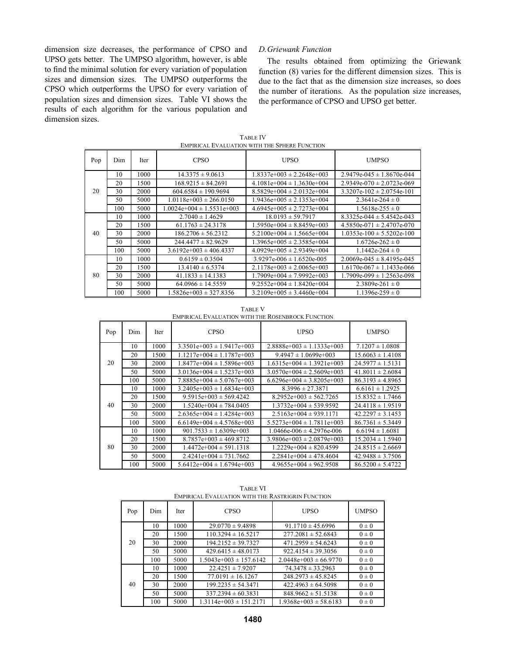dimension size decreases, the performance of CPSO and UPSO gets better. The UMPSO algorithm, however, is able to find the minimal solution for every variation of population sizes and dimension sizes. The UMPSO outperforms the CPSO which outperforms the UPSO for every variation of population sizes and dimension sizes. Table VI shows the results of each algorithm for the various population and dimension sizes.

## *D.Griewank Function*

The results obtained from optimizing the Griewank function (8) varies for the different dimension sizes. This is due to the fact that as the dimension size increases, so does the number of iterations. As the population size increases, the performance of CPSO and UPSO get better.

| Pop | Dim | Iter | <b>CPSO</b>                   | <b>UPSO</b>                     | <b>UMPSO</b>                  |
|-----|-----|------|-------------------------------|---------------------------------|-------------------------------|
|     | 10  | 1000 | $14.3375 \pm 9.0613$          | $1.8337e+003 \pm 2.2648e+003$   | $2.9479e-045 \pm 1.8670e-044$ |
|     | 20  | 1500 | $168.9215 \pm 84.2691$        | $4.1081e+004 \pm 1.3630e+004$   | $2.9349e-070 \pm 2.0723e-069$ |
| 20  | 30  | 2000 | $604.6584 \pm 190.9694$       | $8.5829e+004 \pm 2.0132e+004$   | $3.3207e-102 \pm 2.0754e-101$ |
|     | 50  | 5000 | $1.0118e+003 \pm 266.0150$    | $1.9436e+005 \pm 2.1353e+004$   | $2.3641e-264 \pm 0$           |
|     | 100 | 5000 | $1.0024e+004 \pm 1.5531e+003$ | $4.6945e+005 \pm 2.7273e+004$   | $1.5618e-255 \pm 0$           |
| 40  | 10  | 1000 | $2.7040 \pm 1.4629$           | $18.0193 \pm 59.7917$           | $8.3325e-044 \pm 5.4542e-043$ |
|     | 20  | 1500 | $61.1763 \pm 24.3178$         | $1.5950e+004 \pm 8.8459e+003$   | $4.5850e-071 \pm 2.4707e-070$ |
|     | 30  | 2000 | $186.2706 \pm 56.2312$        | $5.2100e+004 \pm 1.5665e+004$   | $1.0353e-100 \pm 5.5202e-100$ |
|     | 50  | 5000 | $244.4477 \pm 82.9629$        | $1.3965e+005 \pm 2.3585e+004$   | $1.6726e-262 \pm 0$           |
|     | 100 | 5000 | $3.6192e+003 \pm 406.4337$    | $4.0929e+005 \pm 2.9349e+004$   | $1.1442e-264 \pm 0$           |
|     | 10  | 1000 | $0.6159 \pm 0.3504$           | $3.9297e-006 \pm 1.6520e-005$   | $2.0069e-045 \pm 8.4195e-045$ |
| 80  | 20  | 1500 | $13.4140 \pm 6.5374$          | $2.1178e+003 \pm 2.0065e+003$   | $1.6170e-067 \pm 1.1433e-066$ |
|     | 30  | 2000 | $41.1833 \pm 14.1383$         | $1.7909e+004 \pm 7.9992e+003$   | $1.7909e-099 \pm 1.2563e-098$ |
|     | 50  | 5000 | $64.0966 \pm 14.5559$         | $9.2552e+0.04 \pm 1.8420e+0.04$ | $2.3809e-261 \pm 0$           |
|     | 100 | 5000 | $1.5826e+003 \pm 327.8356$    | $3.2109e+005 \pm 3.4460e+004$   | $1.1396e-259 \pm 0$           |

TABLE IV EMPIRICAL EVALUATION WITH THE SPHERE FUNCTION

TABLE V EMPIRICAL EVALUATION WITH THE ROSENBROCK FUNCTION

| Pop | Dim | Iter | <b>CPSO</b>                   | <b>UPSO</b>                   | <b>UMPSO</b>         |
|-----|-----|------|-------------------------------|-------------------------------|----------------------|
|     | 10  | 1000 | $3.3501e+003 \pm 1.9417e+003$ | $2.8888e+003 \pm 1.1333e+003$ | $7.1207 \pm 1.0808$  |
|     | 20  | 1500 | $1.1217e+004 \pm 1.1787e+003$ | $9.4947 \pm 1.0699e+003$      | $15.6063 \pm 1.4108$ |
| 20  | 30  | 2000 | $1.8477e+004 \pm 1.5896e+003$ | $1.6315e+004 \pm 1.3921e+003$ | $24.5977 \pm 1.5131$ |
|     | 50  | 5000 | $3.0136e+004 \pm 1.5237e+003$ | $3.0570e+004 \pm 2.5609e+003$ | $41.8011 \pm 2.6084$ |
|     | 100 | 5000 | $7.8885e+004 \pm 5.0767e+003$ | $6.6296e+004 \pm 3.8205e+003$ | $86.3193 \pm 4.8965$ |
| 40  | 10  | 1000 | $3.2405e+003 \pm 1.6834e+003$ | $8.3996 \pm 27.3871$          | $6.6161 \pm 1.2925$  |
|     | 20  | 1500 | $9.5915e+003 \pm 569.4242$    | $8.2952e+003 \pm 562.7265$    | $15.8352 \pm 1.7466$ |
|     | 30  | 2000 | $1.5240e+004 \pm 784.0405$    | $1.3732e+004 \pm 539.9592$    | $24.4118 \pm 1.9519$ |
|     | 50  | 5000 | $2.6365e+004 \pm 1.4284e+003$ | $2.5163e+004 \pm 939.1171$    | $42.2297 \pm 3.1453$ |
|     | 100 | 5000 | $6.6149e+004 \pm 4.5768e+003$ | $5.5273e+004 \pm 1.7811e+003$ | $86.7361 \pm 5.3449$ |
| 80  | 10  | 1000 | $901.7533 \pm 1.6309e+003$    | $1.0466e-006 \pm 4.2976e-006$ | $6.6194 \pm 1.6081$  |
|     | 20  | 1500 | $8.7857e+003 \pm 469.8712$    | $3.9806e+003 \pm 2.0879e+003$ | $15.2034 \pm 1.5940$ |
|     | 30  | 2000 | $1.4472e+004 \pm 591.1318$    | $1.2229e+004 \pm 820.4599$    | $24.8515 \pm 2.6669$ |
|     | 50  | 5000 | $2.4241e+004 \pm 731.7662$    | $2.2841e+004 \pm 478.4604$    | $42.9488 \pm 3.7506$ |
|     | 100 | 5000 | $5.6412e+004 \pm 1.6794e+003$ | $4.9655e+004 \pm 962.9508$    | $86.5200 \pm 5.4722$ |

| <b>TABLE VI</b>                                   |
|---------------------------------------------------|
| EMPIRICAL EVALUATION WITH THE RASTRIGRIN FUNCTION |
|                                                   |

| Pop | Dim | Iter | <b>CPSO</b>                | <b>UPSO</b>               | <b>UMPSO</b> |
|-----|-----|------|----------------------------|---------------------------|--------------|
|     | 10  | 1000 | $29.0770 \pm 9.4898$       | $91.1710 \pm 45.6996$     | $0\pm 0$     |
|     | 20  | 1500 | $110.3294 \pm 16.5217$     | $277.2081 \pm 52.6843$    | $0\pm 0$     |
| 20  | 30  | 2000 | $194.2152 \pm 39.7327$     | $471.2959 \pm 54.6243$    | $0\pm 0$     |
|     | 50  | 5000 | $429.6415 \pm 48.0173$     | $922.4154 \pm 39.3056$    | $0\pm 0$     |
|     | 100 | 5000 | $1.5043e+003 \pm 157.6142$ | $2.0448e+003 \pm 66.9770$ | $0\pm 0$     |
|     | 10  | 1000 | $22.4251 \pm 7.9207$       | $74.3478 \pm 33.2963$     | $0\pm 0$     |
| 40  | 20  | 1500 | $77.0191 \pm 16.1267$      | $248.2973 \pm 45.8245$    | $0\pm 0$     |
|     | 30  | 2000 | $199.2235 \pm 54.3471$     | $422.4963 \pm 64.5098$    | $0\pm 0$     |
|     | 50  | 5000 | $337.2394 \pm 60.3831$     | $848.9662 \pm 51.5138$    | $0\pm 0$     |
|     | 100 | 5000 | $1.3114e+003 \pm 151.2171$ | $1.9368e+003 \pm 58.6183$ | $0\pm 0$     |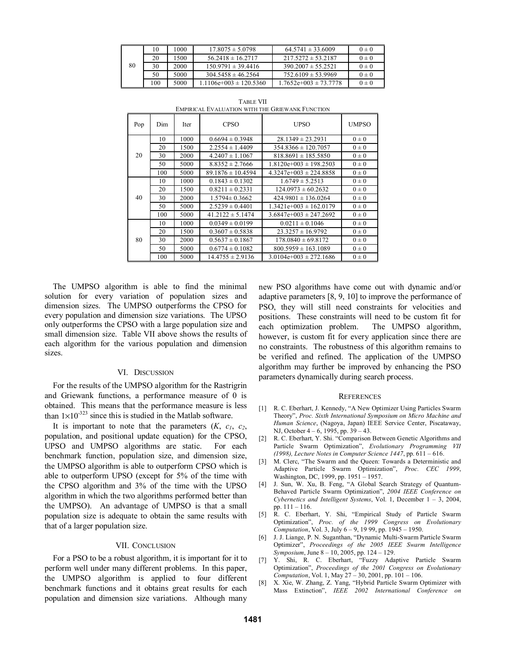|    | 10  | 1000 | $17.8075 \pm 5.0798$       | $64.5741 \pm 33.6009$     | $0\pm 0$  |
|----|-----|------|----------------------------|---------------------------|-----------|
|    | 20  | 1500 | $56.2418 \pm 16.2717$      | $217.5272 \pm 53.2187$    | $0\pm 0$  |
| 80 | 30  | 2000 | $150.9791 \pm 39.4416$     | $390.2007 \pm 55.2521$    | $0 \pm 0$ |
|    | 50. | 5000 | $304.5458 \pm 46.2564$     | $752.6109 \pm 53.9969$    | $0\pm 0$  |
|    | 100 | 5000 | $1.1106e+003 \pm 120.5360$ | $1.7652e+003 \pm 73.7778$ | $0\pm 0$  |

| Pop | Dim. | <b>Iter</b> | <b>CPSO</b>           | <b>UPSO</b>                | <b>UMPSO</b> |
|-----|------|-------------|-----------------------|----------------------------|--------------|
|     | 10   | 1000        | $0.6694 \pm 0.3948$   | $28.1349 \pm 23.2931$      | $0 \pm 0$    |
|     | 20   | 1500        | $2.2554 \pm 1.4409$   | $354.8366 \pm 120.7057$    | $0\pm 0$     |
| 20  | 30   | 2000        | $4.2407 \pm 1.1067$   | $818.8691 \pm 185.5850$    | $0 \pm 0$    |
|     | 50   | 5000        | $8.8352 \pm 2.7666$   | $1.8120e+003 \pm 198.2503$ | $0 \pm 0$    |
|     | 100  | 5000        | $89.1876 \pm 10.4594$ | $4.3247e+003 \pm 224.8858$ | $0\pm 0$     |
|     | 10   | 1000        | $0.1843 \pm 0.1302$   | $1.6749 \pm 5.2513$        | $0 \pm 0$    |
|     | 20   | 1500        | $0.8211 \pm 0.2331$   | $124.0973 \pm 60.2632$     | $0\pm 0$     |
| 40  | 30   | 2000        | $1.5794 \pm 0.3662$   | $424.9801 \pm 136.0264$    | $0\pm 0$     |
|     | 50   | 5000        | $2.5239 \pm 0.4401$   | $1.3421e+003 \pm 162.0179$ | $0 \pm 0$    |
|     | 100  | 5000        | $41.2122 \pm 5.1474$  | $3.6847e+003 \pm 247.2692$ | $0\pm 0$     |
| 80  | 10   | 1000        | $0.0349 \pm 0.0199$   | $0.0211 \pm 0.1046$        | $0 \pm 0$    |
|     | 20   | 1500        | $0.3607 \pm 0.5838$   | $23.3257 \pm 16.9792$      | $0\pm 0$     |
|     | 30   | 2000        | $0.5637 \pm 0.1867$   | $178.0840 \pm 69.8172$     | $0 \pm 0$    |
|     | 50   | 5000        | $0.6774 \pm 0.1082$   | $800.5959 \pm 163.1089$    | $0 \pm 0$    |
|     | 100  | 5000        | $14.4755 \pm 2.9136$  | $3.0104e+003 \pm 272.1686$ | $0\pm 0$     |

TABLE VII EMPIRICAL EVALUATION WITH THE GRIEWANK FUNCTION

The UMPSO algorithm is able to find the minimal solution for every variation of population sizes and dimension sizes. The UMPSO outperforms the CPSO for every population and dimension size variations. The UPSO only outperforms the CPSO with a large population size and small dimension size. Table VII above shows the results of each algorithm for the various population and dimension sizes.

## VI. DISCUSSION

For the results of the UMPSO algorithm for the Rastrigrin and Griewank functions, a performance measure of 0 is obtained. This means that the performance measure is less than  $1\times10^{-323}$  since this is studied in the Matlab software.

It is important to note that the parameters  $(K, c_1, c_2)$ , population, and positional update equation) for the CPSO, UPSO and UMPSO algorithms are static. For each benchmark function, population size, and dimension size, the UMPSO algorithm is able to outperform CPSO which is able to outperform UPSO (except for 5% of the time with the CPSO algorithm and 3% of the time with the UPSO algorithm in which the two algorithms performed better than the UMPSO). An advantage of UMPSO is that a small population size is adequate to obtain the same results with that of a larger population size.

#### VII. CONCLUSION

For a PSO to be a robust algorithm, it is important for it to perform well under many different problems. In this paper, the UMPSO algorithm is applied to four different benchmark functions and it obtains great results for each population and dimension size variations. Although many new PSO algorithms have come out with dynamic and/or adaptive parameters [8, 9, 10] to improve the performance of PSO, they will still need constraints for velocities and positions. These constraints will need to be custom fit for each optimization problem. The UMPSO algorithm, however, is custom fit for every application since there are no constraints. The robustness of this algorithm remains to be verified and refined. The application of the UMPSO algorithm may further be improved by enhancing the PSO parameters dynamically during search process.

#### **REFERENCES**

- [1] R. C. Eberhart, J. Kennedy, "A New Optimizer Using Particles Swarm Theory", *Proc. Sixth International Symposium on Micro Machine and Human Science*, (Nagoya, Japan) IEEE Service Center, Piscataway, NJ, October 4 – 6, 1995, pp. 39 – 43.
- [2] R. C. Eberhart, Y. Shi. "Comparison Between Genetic Algorithms and Particle Swarm Optimization", *Evolutionary Programming VII (1998), Lecture Notes in Computer Science 1447*, pp. 611 – 616.
- [3] M. Clerc, "The Swarm and the Queen: Towards a Deterministic and Adaptive Particle Swarm Optimization", *Proc. CEC 1999*, Washington, DC, 1999, pp. 1951 – 1957.
- [4] J. Sun, W. Xu, B. Feng, "A Global Search Strategy of Quantum-Behaved Particle Swarm Optimization", *2004 IEEE Conference on Cybernetics and Intelligent Systems*, Vol. 1, December 1 – 3, 2004, pp. 111 – 116.
- [5] R. C. Eberhart, Y. Shi, "Empirical Study of Particle Swarm Optimization", *Proc. of the 1999 Congress on Evolutionary Computation*, Vol. 3, July 6 – 9, 19 99, pp. 1945 – 1950.
- [6] J. J. Liange, P. N. Suganthan, "Dynamic Multi-Swarm Particle Swarm Optimizer", *Proceedings of the 2005 IEEE Swarm Intelligence Symposium*, June 8 – 10, 2005, pp. 124 – 129.
- [7] Y. Shi, R. C. Eberhart, "Fuzzy Adaptive Particle Swarm Optimization", *Proceedings of the 2001 Congress on Evolutionary Computation*, Vol. 1, May 27 – 30, 2001, pp. 101 – 106.
- [8] X. Xie, W. Zhang, Z. Yang, "Hybrid Particle Swarm Optimizer with Mass Extinction", *IEEE 2002 International Conference on*